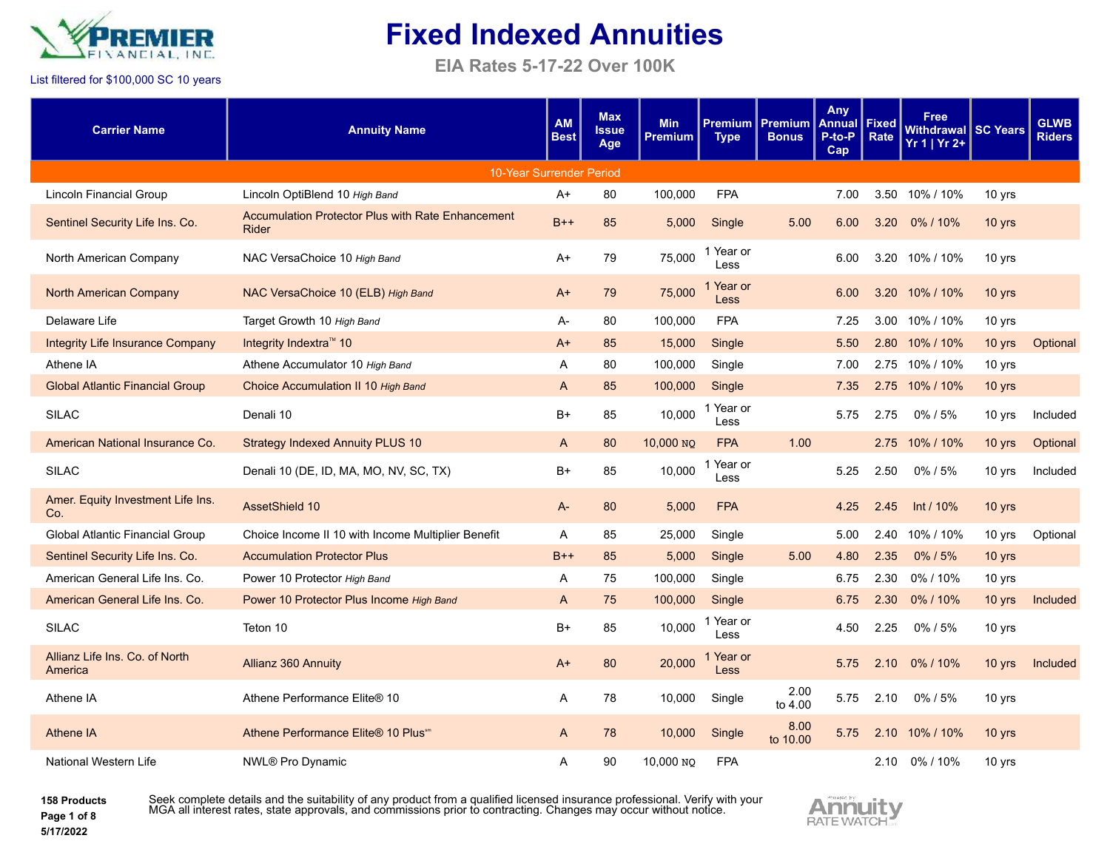

**EIA Rates 5-17-22 Over 100K**

#### List filtered for \$100,000 SC 10 years

| <b>Carrier Name</b>                       | <b>Annuity Name</b>                                               | <b>AM</b><br><b>Best</b> | <b>Max</b><br><b>Issue</b><br>Age | <b>Min</b><br><b>Premium</b> | <b>Premium</b><br><b>Type</b> | <b>Premium</b><br><b>Bonus</b> | <b>Any</b><br><b>Annual</b><br>P-to-P<br>Cap | <b>Fixed</b><br>Rate | Free<br><b>Withdrawal SC Years</b><br>Yr 1   Yr 2+ |        | <b>GLWB</b><br><b>Riders</b> |
|-------------------------------------------|-------------------------------------------------------------------|--------------------------|-----------------------------------|------------------------------|-------------------------------|--------------------------------|----------------------------------------------|----------------------|----------------------------------------------------|--------|------------------------------|
|                                           | 10-Year Surrender Period                                          |                          |                                   |                              |                               |                                |                                              |                      |                                                    |        |                              |
| Lincoln Financial Group                   | Lincoln OptiBlend 10 High Band                                    | $A+$                     | 80                                | 100,000                      | <b>FPA</b>                    |                                | 7.00                                         | 3.50                 | 10% / 10%                                          | 10 yrs |                              |
| Sentinel Security Life Ins. Co.           | <b>Accumulation Protector Plus with Rate Enhancement</b><br>Rider | $B++$                    | 85                                | 5,000                        | Single                        | 5.00                           | 6.00                                         | 3.20                 | 0%/10%                                             | 10 yrs |                              |
| North American Company                    | NAC VersaChoice 10 High Band                                      | $A+$                     | 79                                | 75,000                       | Year or<br>Less               |                                | 6.00                                         | 3.20                 | 10% / 10%                                          | 10 yrs |                              |
| <b>North American Company</b>             | NAC VersaChoice 10 (ELB) High Band                                | $A+$                     | 79                                | 75,000                       | Year or<br>Less               |                                | 6.00                                         | 3.20                 | 10% / 10%                                          | 10 yrs |                              |
| Delaware Life                             | Target Growth 10 High Band                                        | A-                       | 80                                | 100,000                      | <b>FPA</b>                    |                                | 7.25                                         | 3.00                 | 10% / 10%                                          | 10 yrs |                              |
| <b>Integrity Life Insurance Company</b>   | Integrity Indextra™ 10                                            | $A+$                     | 85                                | 15,000                       | Single                        |                                | 5.50                                         | 2.80                 | 10% / 10%                                          | 10 yrs | Optional                     |
| Athene IA                                 | Athene Accumulator 10 High Band                                   | A                        | 80                                | 100,000                      | Single                        |                                | 7.00                                         |                      | 2.75 10% / 10%                                     | 10 yrs |                              |
| <b>Global Atlantic Financial Group</b>    | Choice Accumulation II 10 High Band                               | $\mathsf{A}$             | 85                                | 100,000                      | Single                        |                                | 7.35                                         | 2.75                 | 10% / 10%                                          | 10 yrs |                              |
| <b>SILAC</b>                              | Denali 10                                                         | $B+$                     | 85                                | 10,000                       | Year or<br>Less               |                                | 5.75                                         | 2.75                 | $0\%$ / 5%                                         | 10 yrs | Included                     |
| American National Insurance Co.           | <b>Strategy Indexed Annuity PLUS 10</b>                           | A                        | 80                                | 10,000 NO                    | <b>FPA</b>                    | 1.00                           |                                              | 2.75                 | 10% / 10%                                          | 10 yrs | Optional                     |
| <b>SILAC</b>                              | Denali 10 (DE, ID, MA, MO, NV, SC, TX)                            | $B+$                     | 85                                | 10,000                       | Year or<br>Less               |                                | 5.25                                         | 2.50                 | $0\%$ / 5%                                         | 10 yrs | Included                     |
| Amer. Equity Investment Life Ins.<br>Co.  | AssetShield 10                                                    | $A -$                    | 80                                | 5,000                        | <b>FPA</b>                    |                                | 4.25                                         | 2.45                 | Int / 10%                                          | 10 yrs |                              |
| Global Atlantic Financial Group           | Choice Income II 10 with Income Multiplier Benefit                | A                        | 85                                | 25,000                       | Single                        |                                | 5.00                                         | 2.40                 | 10% / 10%                                          | 10 yrs | Optional                     |
| Sentinel Security Life Ins. Co.           | <b>Accumulation Protector Plus</b>                                | $B++$                    | 85                                | 5,000                        | Single                        | 5.00                           | 4.80                                         | 2.35                 | $0\%$ / 5%                                         | 10 yrs |                              |
| American General Life Ins. Co.            | Power 10 Protector High Band                                      | Α                        | 75                                | 100,000                      | Single                        |                                | 6.75                                         | 2.30                 | 0%/10%                                             | 10 yrs |                              |
| American General Life Ins. Co.            | Power 10 Protector Plus Income High Band                          | $\mathsf{A}$             | 75                                | 100,000                      | Single                        |                                | 6.75                                         | 2.30                 | 0%/10%                                             | 10 yrs | Included                     |
| <b>SILAC</b>                              | Teton 10                                                          | $B+$                     | 85                                | 10.000                       | Year or<br>Less               |                                | 4.50                                         | 2.25                 | $0\%$ / 5%                                         | 10 yrs |                              |
| Allianz Life Ins. Co. of North<br>America | Allianz 360 Annuity                                               | $A+$                     | 80                                | 20,000                       | Year or<br><b>Less</b>        |                                | 5.75                                         | 2.10                 | 0%/10%                                             | 10 yrs | Included                     |
| Athene IA                                 | Athene Performance Elite® 10                                      | A                        | 78                                | 10,000                       | Single                        | 2.00<br>to 4.00                | 5.75                                         | 2.10                 | 0%/5%                                              | 10 yrs |                              |
| <b>Athene IA</b>                          | Athene Performance Elite® 10 Plus <sup>®®</sup>                   | A                        | 78                                | 10,000                       | Single                        | 8.00<br>to 10.00               | 5.75                                         | 2.10                 | 10% / 10%                                          | 10 yrs |                              |
| National Western Life                     | NWL® Pro Dynamic                                                  | Α                        | 90                                | 10,000 NQ                    | <b>FPA</b>                    |                                |                                              |                      | 2.10 0%/10%                                        | 10 yrs |                              |

**158 Products Page 1 of 8 5/17/2022**

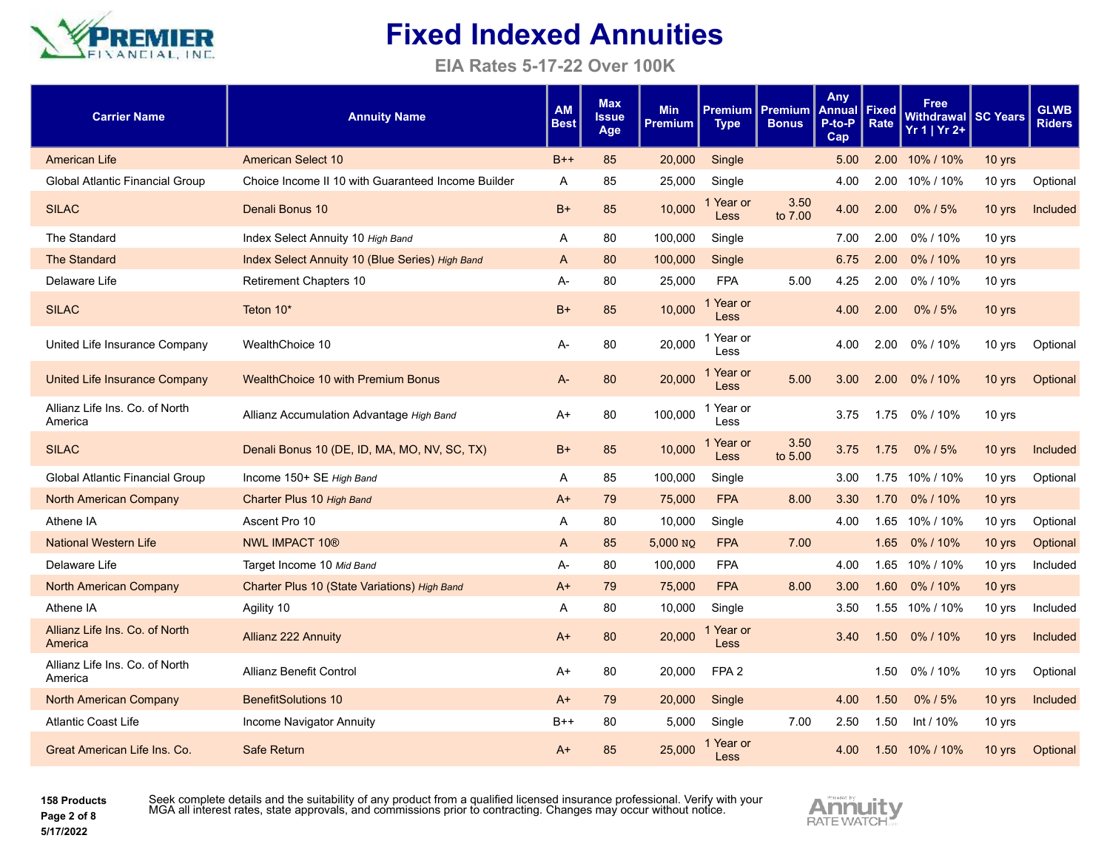

**EIA Rates 5-17-22 Over 100K**

| <b>Carrier Name</b>                       | <b>Annuity Name</b>                                | <b>AM</b><br><b>Best</b> | <b>Max</b><br><b>Issue</b><br>Age | <b>Min</b><br><b>Premium</b> | Premium l<br><b>Type</b> | Premium<br><b>Bonus</b> | <b>Any</b><br><b>Annual</b><br>P-to-P<br>Cap | Fixed<br>Rate     | <b>Free</b><br>Withdrawal SC Years<br>Yr 1   Yr 2+ |          | <b>GLWB</b><br><b>Riders</b> |
|-------------------------------------------|----------------------------------------------------|--------------------------|-----------------------------------|------------------------------|--------------------------|-------------------------|----------------------------------------------|-------------------|----------------------------------------------------|----------|------------------------------|
| American Life                             | <b>American Select 10</b>                          | $B++$                    | 85                                | 20,000                       | Single                   |                         | 5.00                                         | 2.00 <sub>1</sub> | 10% / 10%                                          | 10 yrs   |                              |
| Global Atlantic Financial Group           | Choice Income II 10 with Guaranteed Income Builder | A                        | 85                                | 25,000                       | Single                   |                         | 4.00                                         | 2.00              | 10% / 10%                                          | 10 yrs   | Optional                     |
| <b>SILAC</b>                              | Denali Bonus 10                                    | $B+$                     | 85                                | 10.000                       | 1 Year or<br>Less        | 3.50<br>to 7.00         | 4.00                                         | 2.00              | $0\%$ / 5%                                         | 10 yrs   | Included                     |
| The Standard                              | Index Select Annuity 10 High Band                  | A                        | 80                                | 100,000                      | Single                   |                         | 7.00                                         | 2.00              | 0%/10%                                             | 10 yrs   |                              |
| <b>The Standard</b>                       | Index Select Annuity 10 (Blue Series) High Band    | A                        | 80                                | 100,000                      | Single                   |                         | 6.75                                         | 2.00              | 0%/10%                                             | 10 yrs   |                              |
| Delaware Life                             | <b>Retirement Chapters 10</b>                      | А-                       | 80                                | 25,000                       | <b>FPA</b>               | 5.00                    | 4.25                                         | 2.00              | 0%/10%                                             | 10 yrs   |                              |
| <b>SILAC</b>                              | Teton 10*                                          | $B+$                     | 85                                | 10.000                       | 1 Year or<br><b>Less</b> |                         | 4.00                                         | 2.00              | 0%/5%                                              | 10 yrs   |                              |
| United Life Insurance Company             | WealthChoice 10                                    | А-                       | 80                                | 20,000                       | 1 Year or<br>Less        |                         | 4.00                                         | 2.00              | 0%/10%                                             | 10 yrs   | Optional                     |
| United Life Insurance Company             | <b>WealthChoice 10 with Premium Bonus</b>          | A-                       | 80                                | 20,000                       | 1 Year or<br>Less        | 5.00                    | 3.00                                         | 2.00              | 0%/10%                                             | 10 yrs   | Optional                     |
| Allianz Life Ins. Co. of North<br>America | Allianz Accumulation Advantage High Band           | A+                       | 80                                | 100,000                      | 1 Year or<br>Less        |                         | 3.75                                         | 1.75              | 0% / 10%                                           | 10 yrs   |                              |
| <b>SILAC</b>                              | Denali Bonus 10 (DE, ID, MA, MO, NV, SC, TX)       | $B+$                     | 85                                | 10,000                       | 1 Year or<br><b>Less</b> | 3.50<br>to 5.00         | 3.75                                         | 1.75              | 0%/5%                                              | 10 yrs   | Included                     |
| Global Atlantic Financial Group           | Income 150+ SE High Band                           | A                        | 85                                | 100,000                      | Single                   |                         | 3.00                                         |                   | 1.75 10% / 10%                                     | 10 yrs   | Optional                     |
| North American Company                    | Charter Plus 10 High Band                          | A+                       | 79                                | 75,000                       | <b>FPA</b>               | 8.00                    | 3.30                                         | 1.70              | 0%/10%                                             | 10 yrs   |                              |
| Athene IA                                 | Ascent Pro 10                                      | Α                        | 80                                | 10,000                       | Single                   |                         | 4.00                                         | 1.65              | 10% / 10%                                          | 10 yrs   | Optional                     |
| <b>National Western Life</b>              | <b>NWL IMPACT 10®</b>                              | A                        | 85                                | 5,000 NO                     | <b>FPA</b>               | 7.00                    |                                              | 1.65              | 0%/10%                                             | 10 yrs   | Optional                     |
| Delaware Life                             | Target Income 10 Mid Band                          | A-                       | 80                                | 100,000                      | <b>FPA</b>               |                         | 4.00                                         |                   | 1.65 10% / 10%                                     | 10 yrs   | Included                     |
| North American Company                    | Charter Plus 10 (State Variations) High Band       | $A+$                     | 79                                | 75,000                       | <b>FPA</b>               | 8.00                    | 3.00                                         |                   | 1.60 0%/10%                                        | 10 yrs   |                              |
| Athene IA                                 | Agility 10                                         | Α                        | 80                                | 10,000                       | Single                   |                         | 3.50                                         | 1.55              | 10% / 10%                                          | 10 yrs   | Included                     |
| Allianz Life Ins. Co. of North<br>America | <b>Allianz 222 Annuity</b>                         | A+                       | 80                                | 20,000                       | 1 Year or<br><b>Less</b> |                         | 3.40                                         | 1.50              | 0%/10%                                             | $10$ yrs | Included                     |
| Allianz Life Ins. Co. of North<br>America | <b>Allianz Benefit Control</b>                     | A+                       | 80                                | 20,000                       | FPA <sub>2</sub>         |                         |                                              | 1.50              | 0%/10%                                             | 10 yrs   | Optional                     |
| North American Company                    | <b>BenefitSolutions 10</b>                         | $A+$                     | 79                                | 20,000                       | Single                   |                         | 4.00                                         | 1.50              | 0%/5%                                              | 10 yrs   | Included                     |
| <b>Atlantic Coast Life</b>                | Income Navigator Annuity                           | B++                      | 80                                | 5.000                        | Single                   | 7.00                    | 2.50                                         | 1.50              | Int / 10%                                          | 10 yrs   |                              |
| Great American Life Ins. Co.              | <b>Safe Return</b>                                 | A+                       | 85                                | 25,000                       | 1 Year or<br>Less        |                         | 4.00                                         |                   | 1.50 10% / 10%                                     | 10 yrs   | Optional                     |

**158 Products Page 2 of 8 5/17/2022**

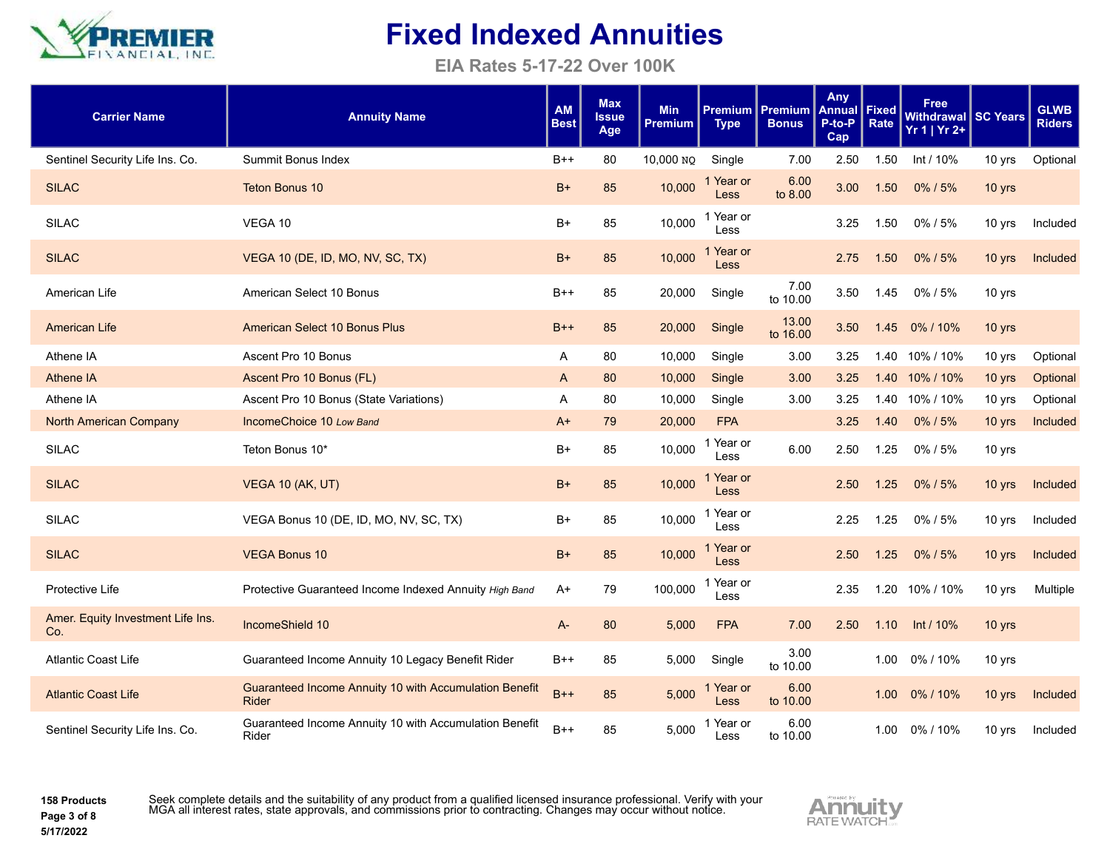

**EIA Rates 5-17-22 Over 100K**

| <b>Carrier Name</b>                      | <b>Annuity Name</b>                                                    | <b>AM</b><br><b>Best</b> | <b>Max</b><br><b>Issue</b><br>Age | <b>Min</b><br>Premium | Premium<br><b>Type</b>   | <b>Premium</b><br><b>Bonus</b> | Any<br>Annual<br>P-to-P<br>Cap | Fixed<br>Rate | Free<br><b>Withdrawal SC Years</b><br>$Yr 1   Yr 2+$ |          | <b>GLWB</b><br><b>Riders</b> |
|------------------------------------------|------------------------------------------------------------------------|--------------------------|-----------------------------------|-----------------------|--------------------------|--------------------------------|--------------------------------|---------------|------------------------------------------------------|----------|------------------------------|
| Sentinel Security Life Ins. Co.          | Summit Bonus Index                                                     | $B++$                    | 80                                | 10,000 NQ             | Single                   | 7.00                           | 2.50                           | 1.50          | Int / 10%                                            | 10 yrs   | Optional                     |
| <b>SILAC</b>                             | <b>Teton Bonus 10</b>                                                  | $B+$                     | 85                                | 10,000                | Year or<br>Less          | 6.00<br>to 8.00                | 3.00                           | 1.50          | 0% / 5%                                              | $10$ yrs |                              |
| <b>SILAC</b>                             | VEGA 10                                                                | B+                       | 85                                | 10,000                | 1 Year or<br>Less        |                                | 3.25                           | 1.50          | 0%/5%                                                | 10 yrs   | Included                     |
| <b>SILAC</b>                             | VEGA 10 (DE, ID, MO, NV, SC, TX)                                       | $B+$                     | 85                                | 10,000                | Year or<br><b>Less</b>   |                                | 2.75                           | 1.50          | 0% / 5%                                              | 10 yrs   | Included                     |
| American Life                            | American Select 10 Bonus                                               | $B++$                    | 85                                | 20,000                | Single                   | 7.00<br>to 10.00               | 3.50                           | 1.45          | 0%/5%                                                | 10 yrs   |                              |
| <b>American Life</b>                     | <b>American Select 10 Bonus Plus</b>                                   | $B++$                    | 85                                | 20,000                | Single                   | 13.00<br>to 16.00              | 3.50                           | 1.45          | 0%/10%                                               | 10 yrs   |                              |
| Athene IA                                | Ascent Pro 10 Bonus                                                    | Α                        | 80                                | 10,000                | Single                   | 3.00                           | 3.25                           | 1.40          | 10% / 10%                                            | 10 yrs   | Optional                     |
| Athene IA                                | Ascent Pro 10 Bonus (FL)                                               | A                        | 80                                | 10,000                | Single                   | 3.00                           | 3.25                           |               | 1.40 10% / 10%                                       | 10 yrs   | Optional                     |
| Athene IA                                | Ascent Pro 10 Bonus (State Variations)                                 | Α                        | 80                                | 10,000                | Single                   | 3.00                           | 3.25                           | 1.40          | 10% / 10%                                            | 10 yrs   | Optional                     |
| <b>North American Company</b>            | IncomeChoice 10 Low Band                                               | $A+$                     | 79                                | 20,000                | <b>FPA</b>               |                                | 3.25                           | 1.40          | 0% / 5%                                              | 10 yrs   | Included                     |
| <b>SILAC</b>                             | Teton Bonus 10*                                                        | $B+$                     | 85                                | 10,000                | 1 Year or<br>Less        | 6.00                           | 2.50                           | 1.25          | 0%/5%                                                | 10 yrs   |                              |
| <b>SILAC</b>                             | VEGA 10 (AK, UT)                                                       | $B+$                     | 85                                | 10,000                | 1 Year or<br><b>Less</b> |                                | 2.50                           | 1.25          | $0\%$ / 5%                                           | 10 yrs   | Included                     |
| <b>SILAC</b>                             | VEGA Bonus 10 (DE, ID, MO, NV, SC, TX)                                 | B+                       | 85                                | 10,000                | 1 Year or<br>Less        |                                | 2.25                           | 1.25          | $0\%$ / 5%                                           | 10 yrs   | Included                     |
| <b>SILAC</b>                             | <b>VEGA Bonus 10</b>                                                   | $B+$                     | 85                                | 10,000                | 1 Year or<br><b>Less</b> |                                | 2.50                           | 1.25          | $0\%$ / 5%                                           | $10$ yrs | Included                     |
| Protective Life                          | Protective Guaranteed Income Indexed Annuity High Band                 | A+                       | 79                                | 100,000               | 1 Year or<br>Less        |                                | 2.35                           | 1.20          | 10% / 10%                                            | 10 yrs   | Multiple                     |
| Amer. Equity Investment Life Ins.<br>Co. | IncomeShield 10                                                        | $A -$                    | 80                                | 5,000                 | <b>FPA</b>               | 7.00                           | 2.50                           | 1.10          | Int / $10\%$                                         | 10 yrs   |                              |
| <b>Atlantic Coast Life</b>               | Guaranteed Income Annuity 10 Legacy Benefit Rider                      | $B++$                    | 85                                | 5,000                 | Single                   | 3.00<br>to 10.00               |                                | 1.00          | 0%/10%                                               | 10 yrs   |                              |
| <b>Atlantic Coast Life</b>               | Guaranteed Income Annuity 10 with Accumulation Benefit<br><b>Rider</b> | $B++$                    | 85                                | 5.000                 | Year or<br><b>Less</b>   | 6.00<br>to 10.00               |                                | 1.00          | 0%/10%                                               | 10 yrs   | Included                     |
| Sentinel Security Life Ins. Co.          | Guaranteed Income Annuity 10 with Accumulation Benefit<br>Rider        | $B++$                    | 85                                | 5.000                 | Year or<br>Less          | 6.00<br>to 10.00               |                                | 1.00          | 0%/10%                                               | 10 yrs   | Included                     |

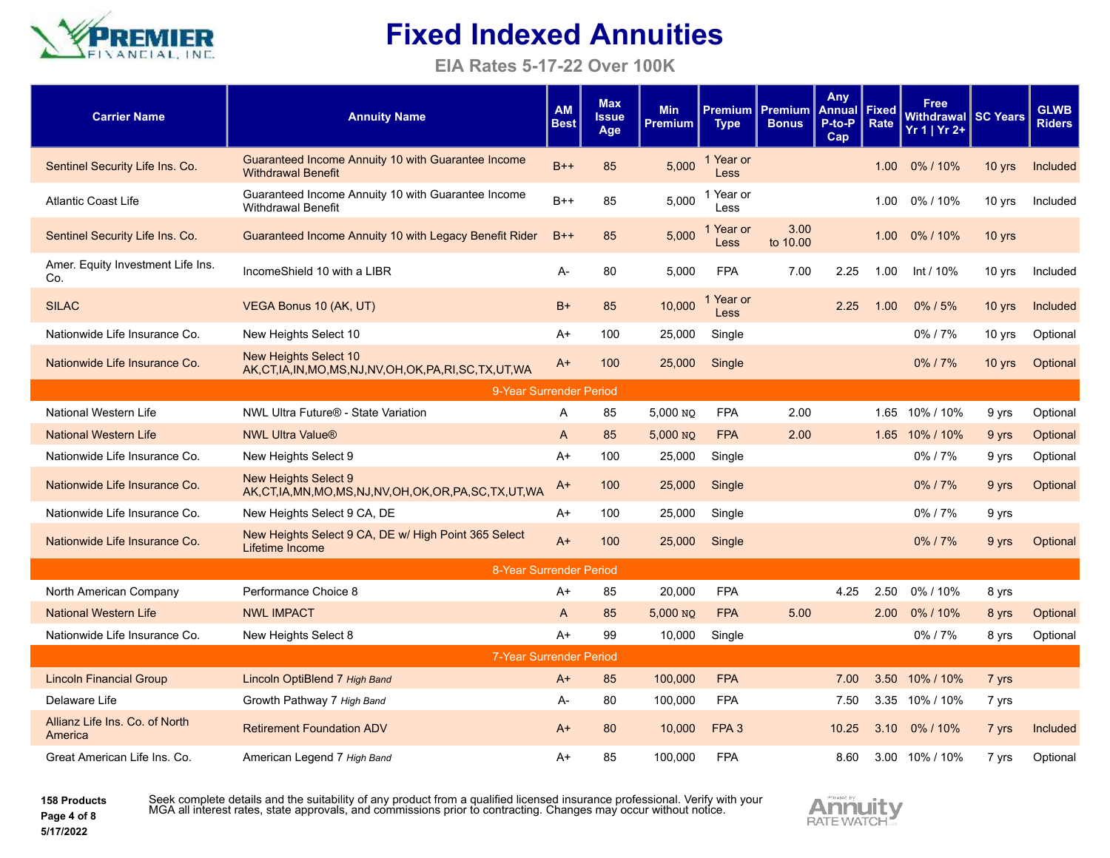

**EIA Rates 5-17-22 Over 100K**

| <b>Carrier Name</b>                       | <b>Annuity Name</b>                                                                           | <b>AM</b><br><b>Best</b> | <b>Max</b><br><b>Issue</b><br>Age | <b>Min</b><br><b>Premium</b> | <b>Type</b>              | <b>Premium   Premium</b><br><b>Bonus</b> | Any<br><b>Annual</b><br>P-to-P<br>Cap | Fixed<br>Rate     | Free<br>Withdrawal I SC Years<br>$Yr 1   Yr 2+$ |          | <b>GLWB</b><br><b>Riders</b> |
|-------------------------------------------|-----------------------------------------------------------------------------------------------|--------------------------|-----------------------------------|------------------------------|--------------------------|------------------------------------------|---------------------------------------|-------------------|-------------------------------------------------|----------|------------------------------|
| Sentinel Security Life Ins. Co.           | Guaranteed Income Annuity 10 with Guarantee Income<br><b>Withdrawal Benefit</b>               | $B++$                    | 85                                | 5,000                        | 1 Year or<br><b>Less</b> |                                          |                                       | 1.00              | 0%/10%                                          | 10 yrs   | Included                     |
| <b>Atlantic Coast Life</b>                | Guaranteed Income Annuity 10 with Guarantee Income<br><b>Withdrawal Benefit</b>               | $B++$                    | 85                                | 5,000                        | Year or<br>Less          |                                          |                                       | 1.00              | 0%/10%                                          | 10 yrs   | Included                     |
| Sentinel Security Life Ins. Co.           | Guaranteed Income Annuity 10 with Legacy Benefit Rider                                        | $B++$                    | 85                                | 5,000                        | Year or<br>Less          | 3.00<br>to 10.00                         |                                       | 1.00 <sub>1</sub> | $0\%$ / 10%                                     | 10 yrs   |                              |
| Amer. Equity Investment Life Ins.<br>Co.  | IncomeShield 10 with a LIBR                                                                   | А-                       | 80                                | 5,000                        | <b>FPA</b>               | 7.00                                     | 2.25                                  | 1.00              | Int / 10%                                       | 10 yrs   | Included                     |
| <b>SILAC</b>                              | VEGA Bonus 10 (AK, UT)                                                                        | $B+$                     | 85                                | 10,000                       | Year or<br>Less          |                                          | 2.25                                  | 1.00              | $0\%$ / 5%                                      | $10$ yrs | Included                     |
| Nationwide Life Insurance Co.             | New Heights Select 10                                                                         | A+                       | 100                               | 25,000                       | Single                   |                                          |                                       |                   | 0%/7%                                           | 10 yrs   | Optional                     |
| Nationwide Life Insurance Co.             | New Heights Select 10<br>AK, CT, IA, IN, MO, MS, NJ, NV, OH, OK, PA, RI, SC, TX, UT, WA       | $A+$                     | 100                               | 25,000                       | Single                   |                                          |                                       |                   | 0%/7%                                           | $10$ yrs | Optional                     |
|                                           | 9-Year Surrender Period                                                                       |                          |                                   |                              |                          |                                          |                                       |                   |                                                 |          |                              |
| National Western Life                     | NWL Ultra Future <sup>®</sup> - State Variation                                               | A                        | 85                                | 5,000 NO                     | <b>FPA</b>               | 2.00                                     |                                       | 1.65              | 10% / 10%                                       | 9 yrs    | Optional                     |
| <b>National Western Life</b>              | <b>NWL Ultra Value®</b>                                                                       | A                        | 85                                | 5,000 NO                     | <b>FPA</b>               | 2.00                                     |                                       | 1.65              | 10% / 10%                                       | 9 yrs    | Optional                     |
| Nationwide Life Insurance Co.             | New Heights Select 9                                                                          | A+                       | 100                               | 25,000                       | Single                   |                                          |                                       |                   | 0%/7%                                           | 9 yrs    | Optional                     |
| Nationwide Life Insurance Co.             | <b>New Heights Select 9</b><br>AK, CT, IA, MN, MO, MS, NJ, NV, OH, OK, OR, PA, SC, TX, UT, WA | A+                       | 100                               | 25,000                       | Single                   |                                          |                                       |                   | 0%/7%                                           | 9 yrs    | Optional                     |
| Nationwide Life Insurance Co.             | New Heights Select 9 CA, DE                                                                   | A+                       | 100                               | 25,000                       | Single                   |                                          |                                       |                   | 0%/7%                                           | 9 yrs    |                              |
| Nationwide Life Insurance Co.             | New Heights Select 9 CA, DE w/ High Point 365 Select<br>Lifetime Income                       | $A+$                     | 100                               | 25,000                       | Single                   |                                          |                                       |                   | $0\%$ / $7\%$                                   | 9 yrs    | Optional                     |
|                                           | 8-Year Surrender Period                                                                       |                          |                                   |                              |                          |                                          |                                       |                   |                                                 |          |                              |
| North American Company                    | Performance Choice 8                                                                          | A+                       | 85                                | 20,000                       | <b>FPA</b>               |                                          | 4.25                                  | 2.50              | 0%/10%                                          | 8 yrs    |                              |
| <b>National Western Life</b>              | <b>NWL IMPACT</b>                                                                             | A                        | 85                                | 5,000 NQ                     | <b>FPA</b>               | 5.00                                     |                                       | 2.00              | 0%/10%                                          | 8 yrs    | Optional                     |
| Nationwide Life Insurance Co.             | New Heights Select 8                                                                          | $A+$                     | 99                                | 10,000                       | Single                   |                                          |                                       |                   | 0%/7%                                           | 8 yrs    | Optional                     |
|                                           | 7-Year Surrender Period                                                                       |                          |                                   |                              |                          |                                          |                                       |                   |                                                 |          |                              |
| <b>Lincoln Financial Group</b>            | Lincoln OptiBlend 7 High Band                                                                 | $A+$                     | 85                                | 100,000                      | <b>FPA</b>               |                                          | 7.00                                  |                   | 3.50 10% / 10%                                  | 7 yrs    |                              |
| Delaware Life                             | Growth Pathway 7 High Band                                                                    | A-                       | 80                                | 100,000                      | <b>FPA</b>               |                                          | 7.50                                  | 3.35              | 10% / 10%                                       | 7 yrs    |                              |
| Allianz Life Ins. Co. of North<br>America | <b>Retirement Foundation ADV</b>                                                              | $A+$                     | 80                                | 10,000                       | FPA <sub>3</sub>         |                                          | 10.25                                 | 3.10              | 0%/10%                                          | 7 yrs    | Included                     |
| Great American Life Ins. Co.              | American Legend 7 High Band                                                                   | A+                       | 85                                | 100,000                      | <b>FPA</b>               |                                          | 8.60                                  |                   | 3.00 10% / 10%                                  | 7 yrs    | Optional                     |

**158 Products Page 4 of 8 5/17/2022**

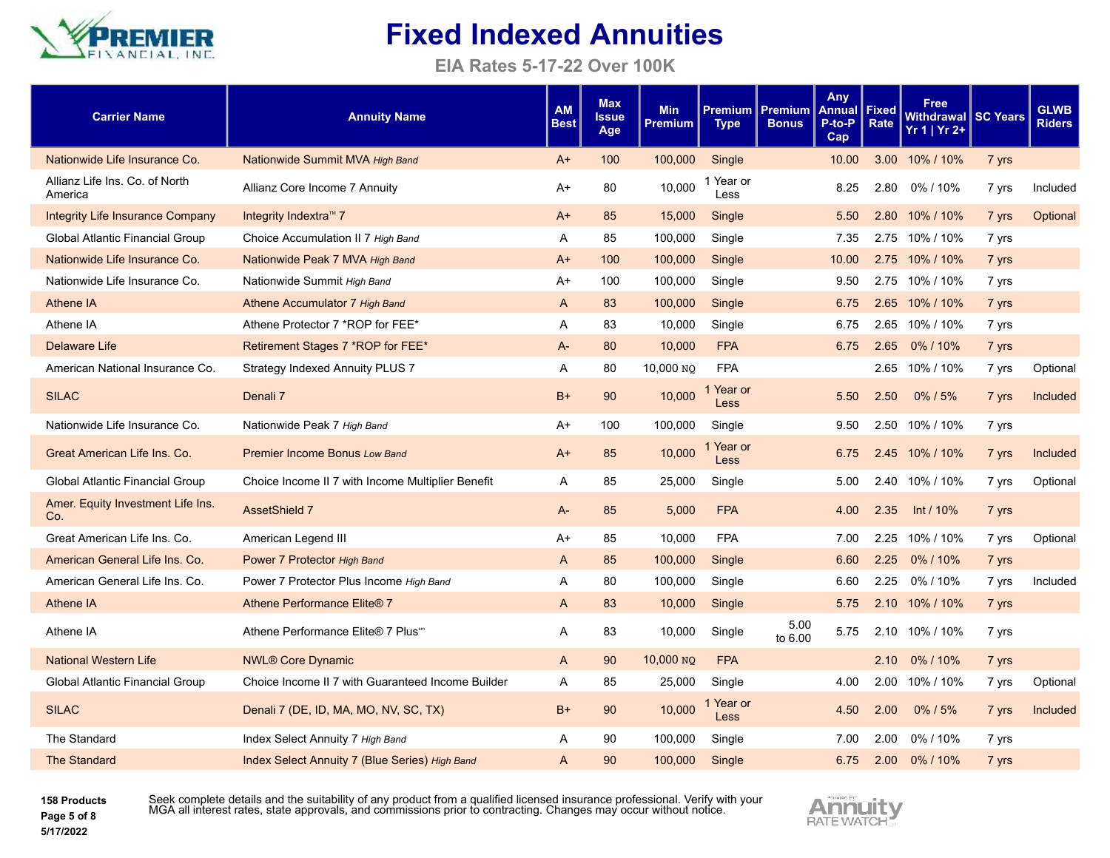

**EIA Rates 5-17-22 Over 100K**

| <b>Carrier Name</b>                       | <b>Annuity Name</b>                               | <b>AM</b><br><b>Best</b> | <b>Max</b><br>Issue<br>Age | <b>Min</b><br><b>Premium</b> | <b>Premium</b><br><b>Type</b> | <b>Premium</b><br><b>Bonus</b> | Any<br>Annual<br>P-to-P<br>Cap | Fixed<br>Rate | <b>Free</b><br>Withdrawal SC Years<br>$Yr 1   Yr 2+$ |       | <b>GLWB</b><br><b>Riders</b> |
|-------------------------------------------|---------------------------------------------------|--------------------------|----------------------------|------------------------------|-------------------------------|--------------------------------|--------------------------------|---------------|------------------------------------------------------|-------|------------------------------|
| Nationwide Life Insurance Co.             | Nationwide Summit MVA High Band                   | A+                       | 100                        | 100,000                      | Single                        |                                | 10.00                          |               | 3.00 10% / 10%                                       | 7 yrs |                              |
| Allianz Life Ins. Co. of North<br>America | Allianz Core Income 7 Annuity                     | A+                       | 80                         | 10,000                       | 1 Year or<br>Less             |                                | 8.25                           | 2.80          | 0% / 10%                                             | 7 yrs | Included                     |
| <b>Integrity Life Insurance Company</b>   | Integrity Indextra™ 7                             | $A+$                     | 85                         | 15,000                       | Single                        |                                | 5.50                           |               | 2.80 10% / 10%                                       | 7 yrs | Optional                     |
| Global Atlantic Financial Group           | Choice Accumulation II 7 High Band                | A                        | 85                         | 100,000                      | Single                        |                                | 7.35                           |               | 2.75 10% / 10%                                       | 7 yrs |                              |
| Nationwide Life Insurance Co.             | Nationwide Peak 7 MVA High Band                   | $A+$                     | 100                        | 100,000                      | Single                        |                                | 10.00                          |               | 2.75 10% / 10%                                       | 7 yrs |                              |
| Nationwide Life Insurance Co.             | Nationwide Summit High Band                       | A+                       | 100                        | 100,000                      | Single                        |                                | 9.50                           |               | 2.75 10% / 10%                                       | 7 yrs |                              |
| <b>Athene IA</b>                          | Athene Accumulator 7 High Band                    | $\mathsf{A}$             | 83                         | 100,000                      | Single                        |                                | 6.75                           |               | 2.65 10% / 10%                                       | 7 yrs |                              |
| Athene IA                                 | Athene Protector 7 *ROP for FEE*                  | A                        | 83                         | 10,000                       | Single                        |                                | 6.75                           |               | 2.65 10% / 10%                                       | 7 yrs |                              |
| <b>Delaware Life</b>                      | Retirement Stages 7 *ROP for FEE*                 | $A -$                    | 80                         | 10,000                       | <b>FPA</b>                    |                                | 6.75                           | 2.65          | 0%/10%                                               | 7 yrs |                              |
| American National Insurance Co.           | Strategy Indexed Annuity PLUS 7                   | A                        | 80                         | 10,000 NO                    | <b>FPA</b>                    |                                |                                |               | 2.65 10% / 10%                                       | 7 yrs | Optional                     |
| <b>SILAC</b>                              | Denali <sub>7</sub>                               | $B+$                     | 90                         | 10,000                       | 1 Year or<br><b>Less</b>      |                                | 5.50                           | 2.50          | 0%/5%                                                | 7 yrs | Included                     |
| Nationwide Life Insurance Co.             | Nationwide Peak 7 High Band                       | A+                       | 100                        | 100,000                      | Single                        |                                | 9.50                           |               | 2.50 10% / 10%                                       | 7 yrs |                              |
| Great American Life Ins. Co.              | <b>Premier Income Bonus Low Band</b>              | $A+$                     | 85                         | 10,000                       | 1 Year or<br>Less             |                                | 6.75                           |               | 2.45 10% / 10%                                       | 7 yrs | Included                     |
| Global Atlantic Financial Group           | Choice Income II 7 with Income Multiplier Benefit | A                        | 85                         | 25,000                       | Single                        |                                | 5.00                           |               | 2.40 10% / 10%                                       | 7 yrs | Optional                     |
| Amer. Equity Investment Life Ins.<br>Co.  | <b>AssetShield 7</b>                              | A-                       | 85                         | 5,000                        | <b>FPA</b>                    |                                | 4.00                           | 2.35          | Int / 10%                                            | 7 yrs |                              |
| Great American Life Ins. Co.              | American Legend III                               | A+                       | 85                         | 10,000                       | <b>FPA</b>                    |                                | 7.00                           | 2.25          | 10% / 10%                                            | 7 yrs | Optional                     |
| American General Life Ins. Co.            | Power 7 Protector High Band                       | A                        | 85                         | 100,000                      | Single                        |                                | 6.60                           | 2.25          | 0%/10%                                               | 7 yrs |                              |
| American General Life Ins. Co.            | Power 7 Protector Plus Income High Band           | Α                        | 80                         | 100,000                      | Single                        |                                | 6.60                           | 2.25          | 0% / 10%                                             | 7 yrs | Included                     |
| Athene IA                                 | Athene Performance Elite® 7                       | A                        | 83                         | 10,000                       | Single                        |                                | 5.75                           |               | 2.10 10% / 10%                                       | 7 yrs |                              |
| Athene IA                                 | Athene Performance Elite® 7 Plus <sup>sm</sup>    | A                        | 83                         | 10,000                       | Single                        | 5.00<br>to 6.00                | 5.75                           | 2.10          | 10% / 10%                                            | 7 yrs |                              |
| <b>National Western Life</b>              | <b>NWL® Core Dynamic</b>                          | A                        | 90                         | 10,000 NO                    | <b>FPA</b>                    |                                |                                | 2.10          | 0%/10%                                               | 7 yrs |                              |
| Global Atlantic Financial Group           | Choice Income II 7 with Guaranteed Income Builder | Α                        | 85                         | 25,000                       | Single                        |                                | 4.00                           |               | 2.00 10% / 10%                                       | 7 yrs | Optional                     |
| <b>SILAC</b>                              | Denali 7 (DE, ID, MA, MO, NV, SC, TX)             | $B+$                     | 90                         | 10,000                       | 1 Year or<br><b>Less</b>      |                                | 4.50                           | 2.00          | $0\%$ / 5%                                           | 7 yrs | Included                     |
| The Standard                              | Index Select Annuity 7 High Band                  | Α                        | 90                         | 100,000                      | Single                        |                                | 7.00                           | 2.00          | 0%/10%                                               | 7 yrs |                              |
| <b>The Standard</b>                       | Index Select Annuity 7 (Blue Series) High Band    | A                        | 90                         | 100,000                      | Single                        |                                | 6.75                           |               | 2.00 0%/10%                                          | 7 yrs |                              |

**158 Products Page 5 of 8 5/17/2022**

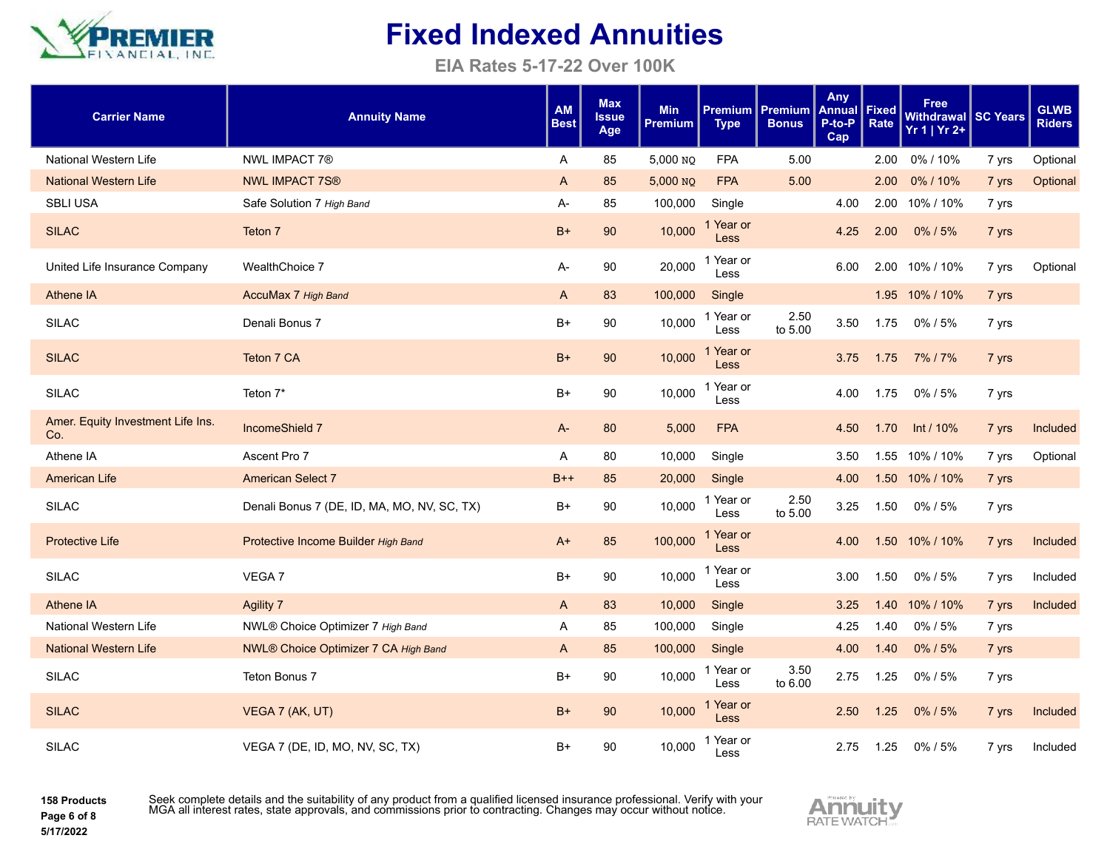

**EIA Rates 5-17-22 Over 100K**

| <b>Carrier Name</b>                      | <b>Annuity Name</b>                         | <b>AM</b><br><b>Best</b> | <b>Max</b><br><b>Issue</b><br>Age | <b>Min</b><br><b>Premium</b> | <b>Premium</b><br><b>Type</b> | <b>Premium</b><br><b>Bonus</b> | <b>Any</b><br>Annual<br>P-to-P<br>Cap | Fixed<br>Rate | <b>Free</b><br>Withdrawal SC Years<br>$Yr 1   Yr 2+$ |       | <b>GLWB</b><br><b>Riders</b> |
|------------------------------------------|---------------------------------------------|--------------------------|-----------------------------------|------------------------------|-------------------------------|--------------------------------|---------------------------------------|---------------|------------------------------------------------------|-------|------------------------------|
| National Western Life                    | <b>NWL IMPACT 7®</b>                        | A                        | 85                                | 5,000 NQ                     | <b>FPA</b>                    | 5.00                           |                                       | 2.00          | 0%/10%                                               | 7 yrs | Optional                     |
| <b>National Western Life</b>             | <b>NWL IMPACT 7S®</b>                       | $\mathsf{A}$             | 85                                | 5,000 NQ                     | <b>FPA</b>                    | 5.00                           |                                       | 2.00          | 0%/10%                                               | 7 yrs | Optional                     |
| <b>SBLI USA</b>                          | Safe Solution 7 High Band                   | A-                       | 85                                | 100,000                      | Single                        |                                | 4.00                                  |               | 2.00 10% / 10%                                       | 7 yrs |                              |
| <b>SILAC</b>                             | Teton 7                                     | $B+$                     | 90                                | 10,000                       | 1 Year or<br><b>Less</b>      |                                | 4.25                                  | 2.00          | 0%/5%                                                | 7 yrs |                              |
| United Life Insurance Company            | WealthChoice 7                              | A-                       | 90                                | 20,000                       | 1 Year or<br>Less             |                                | 6.00                                  | 2.00          | 10% / 10%                                            | 7 yrs | Optional                     |
| <b>Athene IA</b>                         | AccuMax 7 High Band                         | A                        | 83                                | 100,000                      | Single                        |                                |                                       |               | 1.95 10% / 10%                                       | 7 yrs |                              |
| <b>SILAC</b>                             | Denali Bonus 7                              | $B+$                     | 90                                | 10,000                       | 1 Year or<br>Less             | 2.50<br>to 5.00                | 3.50                                  | 1.75          | 0% / 5%                                              | 7 yrs |                              |
| <b>SILAC</b>                             | Teton 7 CA                                  | $B+$                     | 90                                | 10,000                       | 1 Year or<br>Less             |                                | 3.75                                  | 1.75          | 7% / 7%                                              | 7 yrs |                              |
| <b>SILAC</b>                             | Teton 7*                                    | $B+$                     | 90                                | 10,000                       | 1 Year or<br>Less             |                                | 4.00                                  | 1.75          | 0% / 5%                                              | 7 yrs |                              |
| Amer. Equity Investment Life Ins.<br>Co. | IncomeShield 7                              | A-                       | 80                                | 5,000                        | <b>FPA</b>                    |                                | 4.50                                  | 1.70          | Int $/ 10\%$                                         | 7 yrs | Included                     |
| Athene IA                                | Ascent Pro 7                                | A                        | 80                                | 10,000                       | Single                        |                                | 3.50                                  |               | 1.55 10% / 10%                                       | 7 yrs | Optional                     |
| <b>American Life</b>                     | <b>American Select 7</b>                    | $B++$                    | 85                                | 20,000                       | Single                        |                                | 4.00                                  | 1.50          | 10% / 10%                                            | 7 yrs |                              |
| <b>SILAC</b>                             | Denali Bonus 7 (DE, ID, MA, MO, NV, SC, TX) | B+                       | 90                                | 10,000                       | 1 Year or<br>Less             | 2.50<br>to 5.00                | 3.25                                  | 1.50          | 0%/5%                                                | 7 yrs |                              |
| <b>Protective Life</b>                   | Protective Income Builder High Band         | A+                       | 85                                | 100,000                      | 1 Year or<br><b>Less</b>      |                                | 4.00                                  |               | 1.50 10% / 10%                                       | 7 yrs | Included                     |
| <b>SILAC</b>                             | VEGA 7                                      | B+                       | 90                                | 10,000                       | 1 Year or<br>Less             |                                | 3.00                                  | 1.50          | 0%/5%                                                | 7 yrs | Included                     |
| <b>Athene IA</b>                         | <b>Agility 7</b>                            | A                        | 83                                | 10,000                       | Single                        |                                | 3.25                                  | 1.40          | 10% / 10%                                            | 7 yrs | Included                     |
| National Western Life                    | NWL® Choice Optimizer 7 High Band           | A                        | 85                                | 100,000                      | Single                        |                                | 4.25                                  | 1.40          | 0%/5%                                                | 7 yrs |                              |
| <b>National Western Life</b>             | NWL® Choice Optimizer 7 CA High Band        | A                        | 85                                | 100,000                      | Single                        |                                | 4.00                                  | 1.40          | 0%/5%                                                | 7 yrs |                              |
| <b>SILAC</b>                             | Teton Bonus 7                               | $B+$                     | 90                                | 10,000                       | 1 Year or<br>Less             | 3.50<br>to 6.00                | 2.75                                  | 1.25          | 0% / 5%                                              | 7 yrs |                              |
| <b>SILAC</b>                             | VEGA 7 (AK, UT)                             | $B+$                     | 90                                | 10,000                       | 1 Year or<br>Less             |                                | 2.50                                  | 1.25          | 0%/5%                                                | 7 yrs | Included                     |
| <b>SILAC</b>                             | VEGA 7 (DE, ID, MO, NV, SC, TX)             | $B+$                     | 90                                | 10,000                       | 1 Year or<br>Less             |                                | 2.75                                  | 1.25          | 0% / 5%                                              | 7 yrs | Included                     |

**158 Products Page 6 of 8**

**5/17/2022**

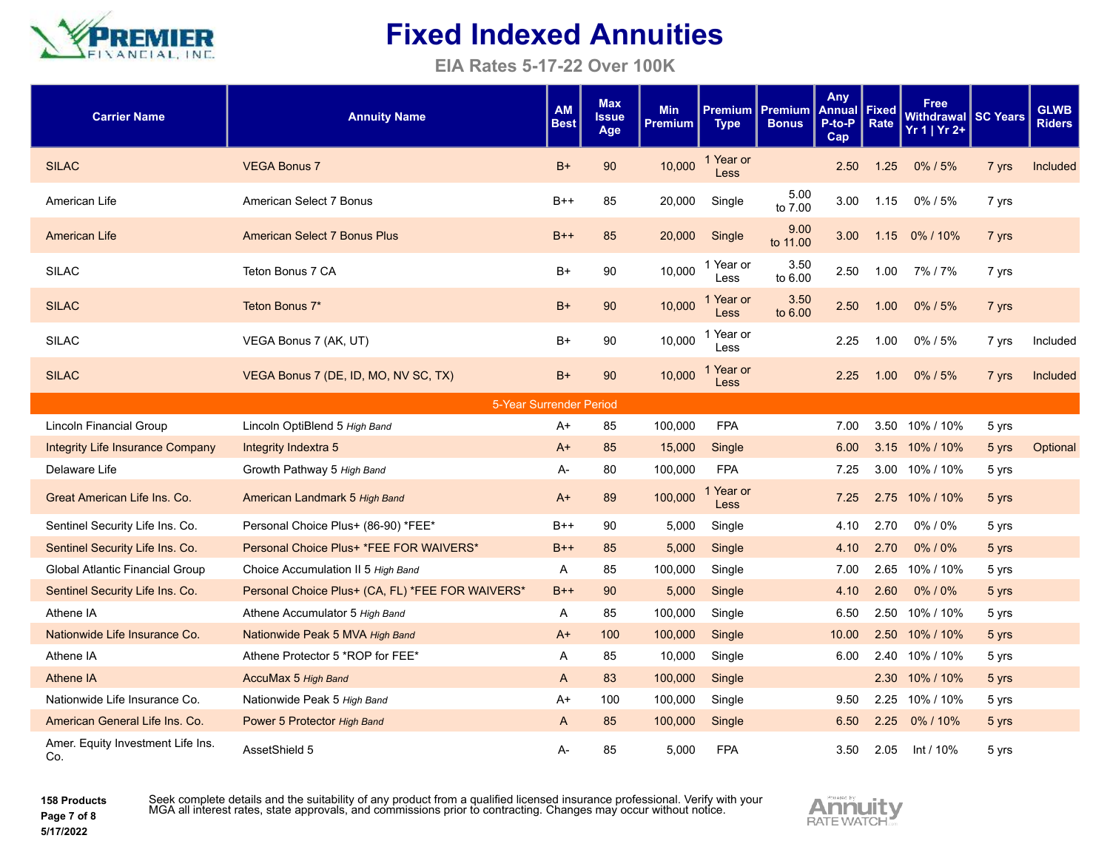

**EIA Rates 5-17-22 Over 100K**

| <b>Carrier Name</b>                      | <b>Annuity Name</b>                              | <b>AM</b><br><b>Best</b> | <b>Max</b><br><b>Issue</b><br>Age | <b>Min</b><br>Premium | <b>Premium</b><br><b>Type</b> | Premium<br><b>Bonus</b> | Any<br>Annual<br>P-to-P<br>Cap | <b>Fixed</b><br>Rate | <b>Free</b><br>Withdrawal SC Years<br>$Yr 1   Yr 2+$ |       | <b>GLWB</b><br><b>Riders</b> |
|------------------------------------------|--------------------------------------------------|--------------------------|-----------------------------------|-----------------------|-------------------------------|-------------------------|--------------------------------|----------------------|------------------------------------------------------|-------|------------------------------|
| <b>SILAC</b>                             | <b>VEGA Bonus 7</b>                              | $B+$                     | 90                                | 10,000                | 1 Year or<br><b>Less</b>      |                         | 2.50                           | 1.25                 | $0\%$ / 5%                                           | 7 yrs | Included                     |
| American Life                            | American Select 7 Bonus                          | $B++$                    | 85                                | 20,000                | Single                        | 5.00<br>to 7.00         | 3.00                           | 1.15                 | 0%/5%                                                | 7 yrs |                              |
| <b>American Life</b>                     | <b>American Select 7 Bonus Plus</b>              | $B++$                    | 85                                | 20,000                | Single                        | 9.00<br>to 11.00        | 3.00                           | 1.15                 | 0% / 10%                                             | 7 yrs |                              |
| <b>SILAC</b>                             | Teton Bonus 7 CA                                 | B+                       | 90                                | 10,000                | 1 Year or<br>Less             | 3.50<br>to 6.00         | 2.50                           | 1.00                 | 7%/7%                                                | 7 yrs |                              |
| <b>SILAC</b>                             | Teton Bonus 7*                                   | $B+$                     | 90                                | 10,000                | 1 Year or<br>Less             | 3.50<br>to 6.00         | 2.50                           | 1.00                 | $0\%$ / 5%                                           | 7 yrs |                              |
| <b>SILAC</b>                             | VEGA Bonus 7 (AK, UT)                            | B+                       | 90                                | 10,000                | 1 Year or<br>Less             |                         | 2.25                           | 1.00                 | 0%/5%                                                | 7 yrs | Included                     |
| <b>SILAC</b>                             | VEGA Bonus 7 (DE, ID, MO, NV SC, TX)             | B+                       | 90                                | 10,000                | 1 Year or<br>Less             |                         | 2.25                           | 1.00                 | $0\%$ / 5%                                           | 7 yrs | Included                     |
|                                          | 5-Year Surrender Period                          |                          |                                   |                       |                               |                         |                                |                      |                                                      |       |                              |
| <b>Lincoln Financial Group</b>           | Lincoln OptiBlend 5 High Band                    | A+                       | 85                                | 100,000               | <b>FPA</b>                    |                         | 7.00                           | 3.50                 | 10% / 10%                                            | 5 yrs |                              |
| <b>Integrity Life Insurance Company</b>  | Integrity Indextra 5                             | $A+$                     | 85                                | 15,000                | Single                        |                         | 6.00                           | 3.15                 | 10% / 10%                                            | 5 yrs | Optional                     |
| Delaware Life                            | Growth Pathway 5 High Band                       | $A -$                    | 80                                | 100,000               | <b>FPA</b>                    |                         | 7.25                           |                      | 3.00 10% / 10%                                       | 5 yrs |                              |
| Great American Life Ins. Co.             | American Landmark 5 High Band                    | $A+$                     | 89                                | 100,000               | Year or<br><b>Less</b>        |                         | 7.25                           | 2.75                 | 10% / 10%                                            | 5 yrs |                              |
| Sentinel Security Life Ins. Co.          | Personal Choice Plus+ (86-90) *FEE*              | $B++$                    | 90                                | 5,000                 | Single                        |                         | 4.10                           | 2.70                 | 0%/0%                                                | 5 yrs |                              |
| Sentinel Security Life Ins. Co.          | Personal Choice Plus+ *FEE FOR WAIVERS*          | $B++$                    | 85                                | 5,000                 | Single                        |                         | 4.10                           | 2.70                 | 0%/0%                                                | 5 yrs |                              |
| Global Atlantic Financial Group          | Choice Accumulation II 5 High Band               | A                        | 85                                | 100,000               | Single                        |                         | 7.00                           |                      | 2.65 10% / 10%                                       | 5 yrs |                              |
| Sentinel Security Life Ins. Co.          | Personal Choice Plus+ (CA, FL) *FEE FOR WAIVERS* | $B++$                    | 90                                | 5,000                 | Single                        |                         | 4.10                           | 2.60                 | 0%/0%                                                | 5 yrs |                              |
| Athene IA                                | Athene Accumulator 5 High Band                   | A                        | 85                                | 100,000               | Single                        |                         | 6.50                           |                      | 2.50 10% / 10%                                       | 5 yrs |                              |
| Nationwide Life Insurance Co.            | Nationwide Peak 5 MVA High Band                  | A+                       | 100                               | 100,000               | Single                        |                         | 10.00                          |                      | 2.50 10% / 10%                                       | 5 yrs |                              |
| Athene IA                                | Athene Protector 5 *ROP for FEE*                 | Α                        | 85                                | 10,000                | Single                        |                         | 6.00                           | 2.40                 | 10% / 10%                                            | 5 yrs |                              |
| Athene IA                                | AccuMax 5 High Band                              | $\mathsf{A}$             | 83                                | 100,000               | Single                        |                         |                                |                      | 2.30 10% / 10%                                       | 5 yrs |                              |
| Nationwide Life Insurance Co.            | Nationwide Peak 5 High Band                      | A+                       | 100                               | 100,000               | Single                        |                         | 9.50                           | 2.25                 | 10% / 10%                                            | 5 yrs |                              |
| American General Life Ins. Co.           | Power 5 Protector High Band                      | A                        | 85                                | 100,000               | Single                        |                         | 6.50                           | 2.25                 | 0%/10%                                               | 5 yrs |                              |
| Amer. Equity Investment Life Ins.<br>Co. | AssetShield 5                                    | А-                       | 85                                | 5,000                 | <b>FPA</b>                    |                         | 3.50                           | 2.05                 | Int / 10%                                            | 5 yrs |                              |

**158 Products Page 7 of 8**

Seek complete details and the suitability of any product from a qualified licensed insurance professional. Verify with your<br>MGA all interest rates, state approvals, and commissions prior to contracting. Changes may occur w



**5/17/2022**